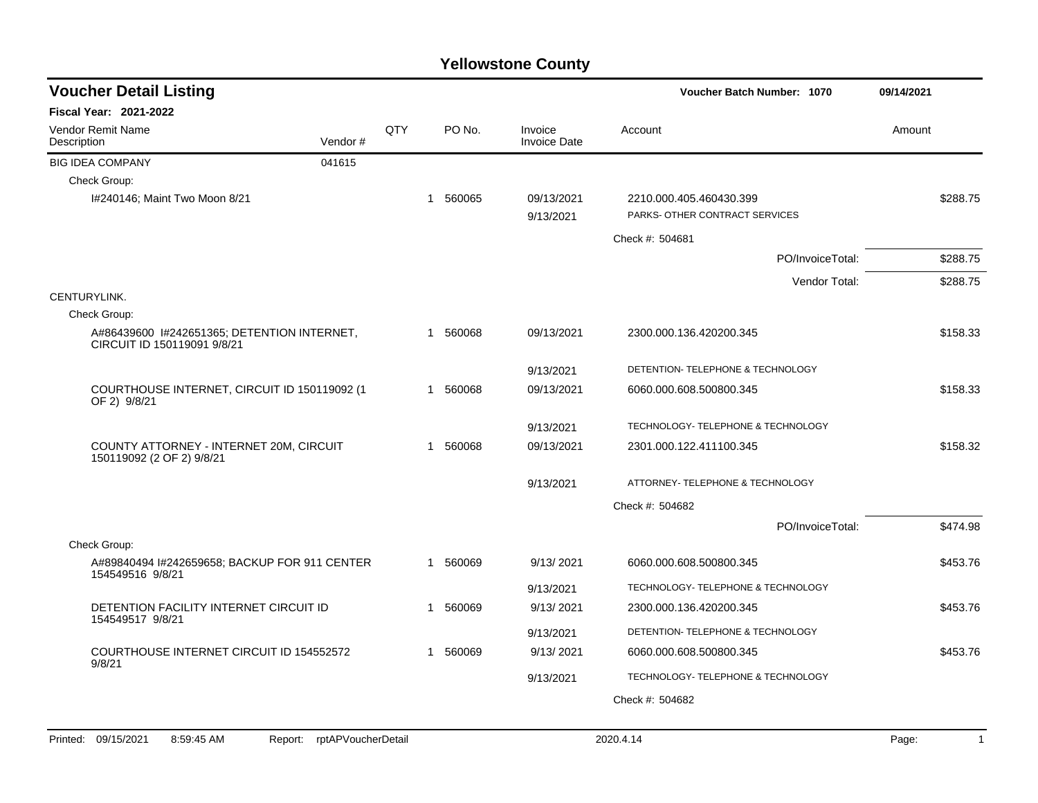| <b>Voucher Detail Listing</b>                                              |                            |     |          |                                | Voucher Batch Number: 1070                                | 09/14/2021 |
|----------------------------------------------------------------------------|----------------------------|-----|----------|--------------------------------|-----------------------------------------------------------|------------|
| Fiscal Year: 2021-2022                                                     |                            |     |          |                                |                                                           |            |
| Vendor Remit Name<br>Description                                           | Vendor#                    | QTY | PO No.   | Invoice<br><b>Invoice Date</b> | Account                                                   | Amount     |
| <b>BIG IDEA COMPANY</b>                                                    | 041615                     |     |          |                                |                                                           |            |
| Check Group:                                                               |                            |     |          |                                |                                                           |            |
| I#240146; Maint Two Moon 8/21                                              |                            |     | 1 560065 | 09/13/2021<br>9/13/2021        | 2210.000.405.460430.399<br>PARKS- OTHER CONTRACT SERVICES | \$288.75   |
|                                                                            |                            |     |          |                                | Check #: 504681                                           |            |
|                                                                            |                            |     |          |                                | PO/InvoiceTotal:                                          | \$288.75   |
|                                                                            |                            |     |          |                                | Vendor Total:                                             | \$288.75   |
| CENTURYLINK.                                                               |                            |     |          |                                |                                                           |            |
| Check Group:                                                               |                            |     |          |                                |                                                           |            |
| A#86439600 1#242651365; DETENTION INTERNET,<br>CIRCUIT ID 150119091 9/8/21 |                            |     | 1 560068 | 09/13/2021                     | 2300.000.136.420200.345                                   | \$158.33   |
|                                                                            |                            |     |          | 9/13/2021                      | DETENTION- TELEPHONE & TECHNOLOGY                         |            |
| COURTHOUSE INTERNET, CIRCUIT ID 150119092 (1<br>OF 2) 9/8/21               |                            |     | 1 560068 | 09/13/2021                     | 6060.000.608.500800.345                                   | \$158.33   |
|                                                                            |                            |     |          | 9/13/2021                      | TECHNOLOGY- TELEPHONE & TECHNOLOGY                        |            |
| COUNTY ATTORNEY - INTERNET 20M, CIRCUIT<br>150119092 (2 OF 2) 9/8/21       |                            |     | 1 560068 | 09/13/2021                     | 2301.000.122.411100.345                                   | \$158.32   |
|                                                                            |                            |     |          | 9/13/2021                      | ATTORNEY- TELEPHONE & TECHNOLOGY                          |            |
|                                                                            |                            |     |          |                                | Check #: 504682                                           |            |
|                                                                            |                            |     |          |                                | PO/InvoiceTotal:                                          | \$474.98   |
| Check Group:                                                               |                            |     |          |                                |                                                           |            |
| A#89840494 I#242659658; BACKUP FOR 911 CENTER<br>154549516 9/8/21          |                            |     | 1 560069 | 9/13/2021                      | 6060.000.608.500800.345                                   | \$453.76   |
|                                                                            |                            |     |          | 9/13/2021                      | TECHNOLOGY- TELEPHONE & TECHNOLOGY                        |            |
| DETENTION FACILITY INTERNET CIRCUIT ID                                     |                            |     | 1 560069 | 9/13/2021                      | 2300.000.136.420200.345                                   | \$453.76   |
| 154549517 9/8/21                                                           |                            |     |          | 9/13/2021                      | DETENTION- TELEPHONE & TECHNOLOGY                         |            |
| <b>COURTHOUSE INTERNET CIRCUIT ID 154552572</b><br>9/8/21                  |                            |     | 1 560069 | 9/13/2021                      | 6060.000.608.500800.345                                   | \$453.76   |
|                                                                            |                            |     |          | 9/13/2021                      | TECHNOLOGY- TELEPHONE & TECHNOLOGY                        |            |
|                                                                            |                            |     |          |                                | Check #: 504682                                           |            |
|                                                                            |                            |     |          |                                |                                                           |            |
| Printed: 09/15/2021<br>8:59:45 AM                                          | Report: rptAPVoucherDetail |     |          |                                | 2020.4.14                                                 | Page:<br>1 |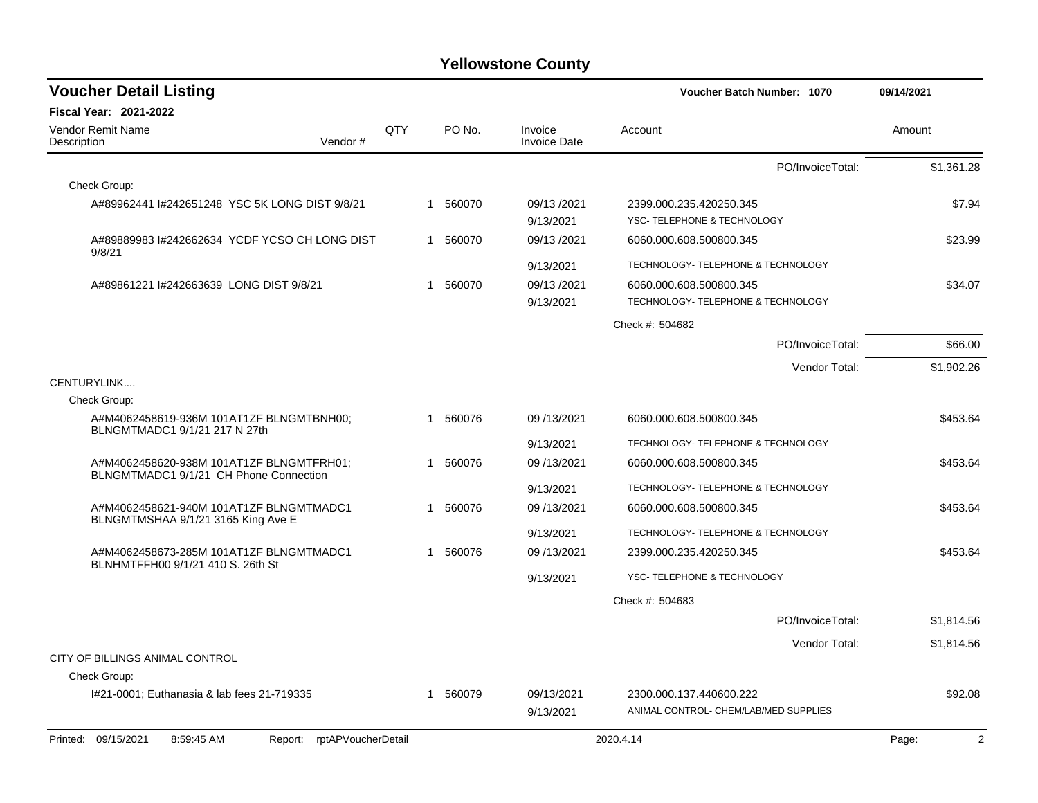| <b>Voucher Detail Listing</b>                                                      |     |   |        |                                | Voucher Batch Number: 1070                                       |                  | 09/14/2021 |
|------------------------------------------------------------------------------------|-----|---|--------|--------------------------------|------------------------------------------------------------------|------------------|------------|
| <b>Fiscal Year: 2021-2022</b>                                                      |     |   |        |                                |                                                                  |                  |            |
| <b>Vendor Remit Name</b><br>Description<br>Vendor#                                 | QTY |   | PO No. | Invoice<br><b>Invoice Date</b> | Account                                                          |                  | Amount     |
|                                                                                    |     |   |        |                                |                                                                  | PO/InvoiceTotal: | \$1,361.28 |
| Check Group:                                                                       |     |   |        |                                |                                                                  |                  |            |
| A#89962441 I#242651248 YSC 5K LONG DIST 9/8/21                                     |     |   | 560070 | 09/13/2021<br>9/13/2021        | 2399.000.235.420250.345<br>YSC- TELEPHONE & TECHNOLOGY           |                  | \$7.94     |
| A#89889983 I#242662634 YCDF YCSO CH LONG DIST<br>9/8/21                            |     | 1 | 560070 | 09/13/2021                     | 6060.000.608.500800.345                                          |                  | \$23.99    |
|                                                                                    |     |   |        | 9/13/2021                      | TECHNOLOGY- TELEPHONE & TECHNOLOGY                               |                  |            |
| A#89861221 I#242663639 LONG DIST 9/8/21                                            |     | 1 | 560070 | 09/13/2021<br>9/13/2021        | 6060.000.608.500800.345<br>TECHNOLOGY- TELEPHONE & TECHNOLOGY    |                  | \$34.07    |
|                                                                                    |     |   |        |                                | Check #: 504682                                                  |                  |            |
|                                                                                    |     |   |        |                                |                                                                  | PO/InvoiceTotal: | \$66.00    |
|                                                                                    |     |   |        |                                |                                                                  | Vendor Total:    | \$1,902.26 |
| CENTURYLINK                                                                        |     |   |        |                                |                                                                  |                  |            |
| Check Group:                                                                       |     |   |        |                                |                                                                  |                  |            |
| A#M4062458619-936M 101AT1ZF BLNGMTBNH00:<br>BLNGMTMADC1 9/1/21 217 N 27th          |     | 1 | 560076 | 09/13/2021                     | 6060.000.608.500800.345                                          |                  | \$453.64   |
|                                                                                    |     |   |        | 9/13/2021                      | TECHNOLOGY- TELEPHONE & TECHNOLOGY                               |                  |            |
| A#M4062458620-938M 101AT1ZF BLNGMTFRH01;<br>BLNGMTMADC1 9/1/21 CH Phone Connection |     | 1 | 560076 | 09/13/2021                     | 6060.000.608.500800.345                                          |                  | \$453.64   |
|                                                                                    |     |   |        | 9/13/2021                      | <b>TECHNOLOGY- TELEPHONE &amp; TECHNOLOGY</b>                    |                  |            |
| A#M4062458621-940M 101AT1ZF BLNGMTMADC1<br>BLNGMTMSHAA 9/1/21 3165 King Ave E      |     | 1 | 560076 | 09/13/2021                     | 6060.000.608.500800.345                                          |                  | \$453.64   |
|                                                                                    |     |   |        | 9/13/2021                      | TECHNOLOGY- TELEPHONE & TECHNOLOGY                               |                  |            |
| A#M4062458673-285M 101AT1ZF BLNGMTMADC1<br>BLNHMTFFH00 9/1/21 410 S. 26th St       |     | 1 | 560076 | 09/13/2021                     | 2399.000.235.420250.345                                          |                  | \$453.64   |
|                                                                                    |     |   |        | 9/13/2021                      | YSC- TELEPHONE & TECHNOLOGY                                      |                  |            |
|                                                                                    |     |   |        |                                | Check #: 504683                                                  |                  |            |
|                                                                                    |     |   |        |                                |                                                                  | PO/InvoiceTotal: | \$1,814.56 |
|                                                                                    |     |   |        |                                |                                                                  | Vendor Total:    | \$1,814.56 |
| CITY OF BILLINGS ANIMAL CONTROL                                                    |     |   |        |                                |                                                                  |                  |            |
| Check Group:                                                                       |     |   |        |                                |                                                                  |                  |            |
| I#21-0001; Euthanasia & lab fees 21-719335                                         |     | 1 | 560079 | 09/13/2021<br>9/13/2021        | 2300.000.137.440600.222<br>ANIMAL CONTROL- CHEM/LAB/MED SUPPLIES |                  | \$92.08    |
| rptAPVoucherDetail<br>Printed: 09/15/2021<br>8:59:45 AM<br>Report:                 |     |   |        |                                | 2020.4.14                                                        |                  | 2<br>Page: |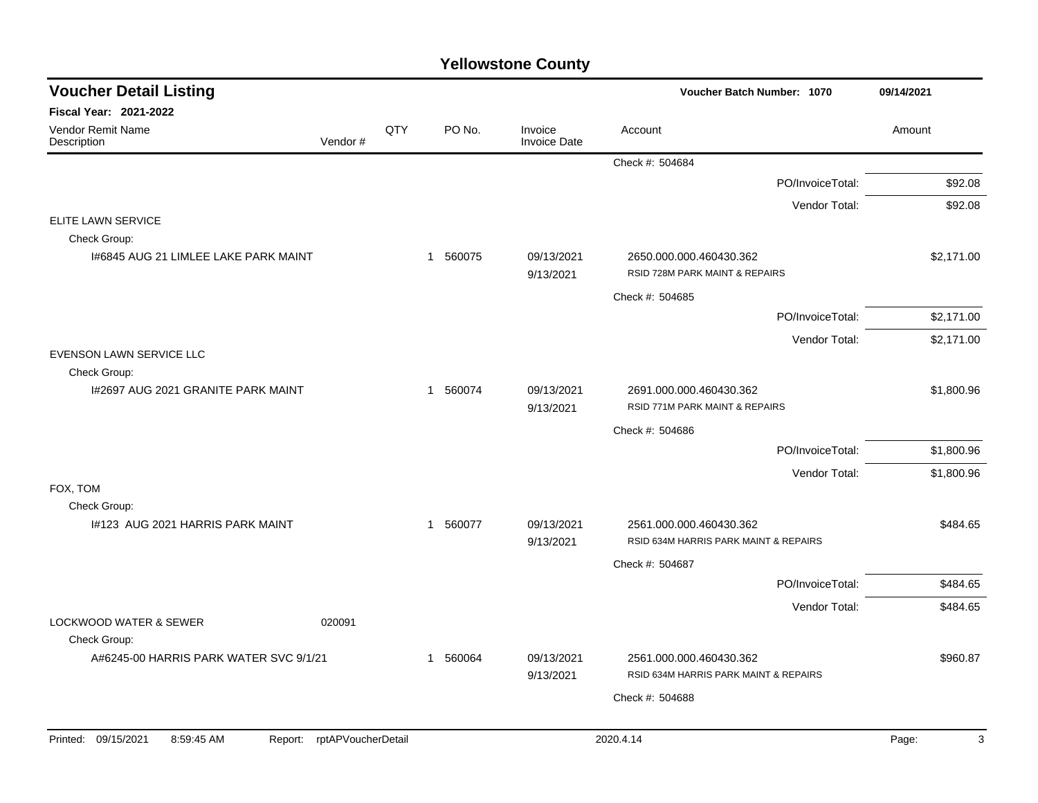| <b>Voucher Detail Listing</b>                     |                    |     |             |                                | Voucher Batch Number: 1070                                       | 09/14/2021 |
|---------------------------------------------------|--------------------|-----|-------------|--------------------------------|------------------------------------------------------------------|------------|
| <b>Fiscal Year: 2021-2022</b>                     |                    |     |             |                                |                                                                  |            |
| <b>Vendor Remit Name</b><br>Description           | Vendor#            | QTY | PO No.      | Invoice<br><b>Invoice Date</b> | Account                                                          | Amount     |
|                                                   |                    |     |             |                                | Check #: 504684                                                  |            |
|                                                   |                    |     |             |                                | PO/InvoiceTotal:                                                 | \$92.08    |
|                                                   |                    |     |             |                                | Vendor Total:                                                    | \$92.08    |
| ELITE LAWN SERVICE<br>Check Group:                |                    |     |             |                                |                                                                  |            |
| 1#6845 AUG 21 LIMLEE LAKE PARK MAINT              |                    |     | 1 560075    | 09/13/2021<br>9/13/2021        | 2650.000.000.460430.362<br>RSID 728M PARK MAINT & REPAIRS        | \$2,171.00 |
|                                                   |                    |     |             |                                | Check #: 504685                                                  |            |
|                                                   |                    |     |             |                                | PO/InvoiceTotal:                                                 | \$2,171.00 |
|                                                   |                    |     |             |                                | Vendor Total:                                                    | \$2,171.00 |
| EVENSON LAWN SERVICE LLC<br>Check Group:          |                    |     |             |                                |                                                                  |            |
| I#2697 AUG 2021 GRANITE PARK MAINT                |                    |     | 1 560074    | 09/13/2021<br>9/13/2021        | 2691.000.000.460430.362<br>RSID 771M PARK MAINT & REPAIRS        | \$1,800.96 |
|                                                   |                    |     |             |                                | Check #: 504686                                                  |            |
|                                                   |                    |     |             |                                | PO/InvoiceTotal:                                                 | \$1,800.96 |
|                                                   |                    |     |             |                                | Vendor Total:                                                    | \$1,800.96 |
| FOX, TOM<br>Check Group:                          |                    |     |             |                                |                                                                  |            |
| 1#123 AUG 2021 HARRIS PARK MAINT                  |                    |     | 560077<br>1 | 09/13/2021<br>9/13/2021        | 2561.000.000.460430.362<br>RSID 634M HARRIS PARK MAINT & REPAIRS | \$484.65   |
|                                                   |                    |     |             |                                | Check #: 504687                                                  |            |
|                                                   |                    |     |             |                                | PO/InvoiceTotal:                                                 | \$484.65   |
|                                                   |                    |     |             |                                | Vendor Total:                                                    | \$484.65   |
| <b>LOCKWOOD WATER &amp; SEWER</b><br>Check Group: | 020091             |     |             |                                |                                                                  |            |
| A#6245-00 HARRIS PARK WATER SVC 9/1/21            |                    |     | 560064<br>1 | 09/13/2021<br>9/13/2021        | 2561.000.000.460430.362<br>RSID 634M HARRIS PARK MAINT & REPAIRS | \$960.87   |
|                                                   |                    |     |             |                                | Check #: 504688                                                  |            |
|                                                   |                    |     |             |                                |                                                                  |            |
| Printed: 09/15/2021<br>8:59:45 AM<br>Report:      | rptAPVoucherDetail |     |             |                                | 2020.4.14                                                        | Page:<br>3 |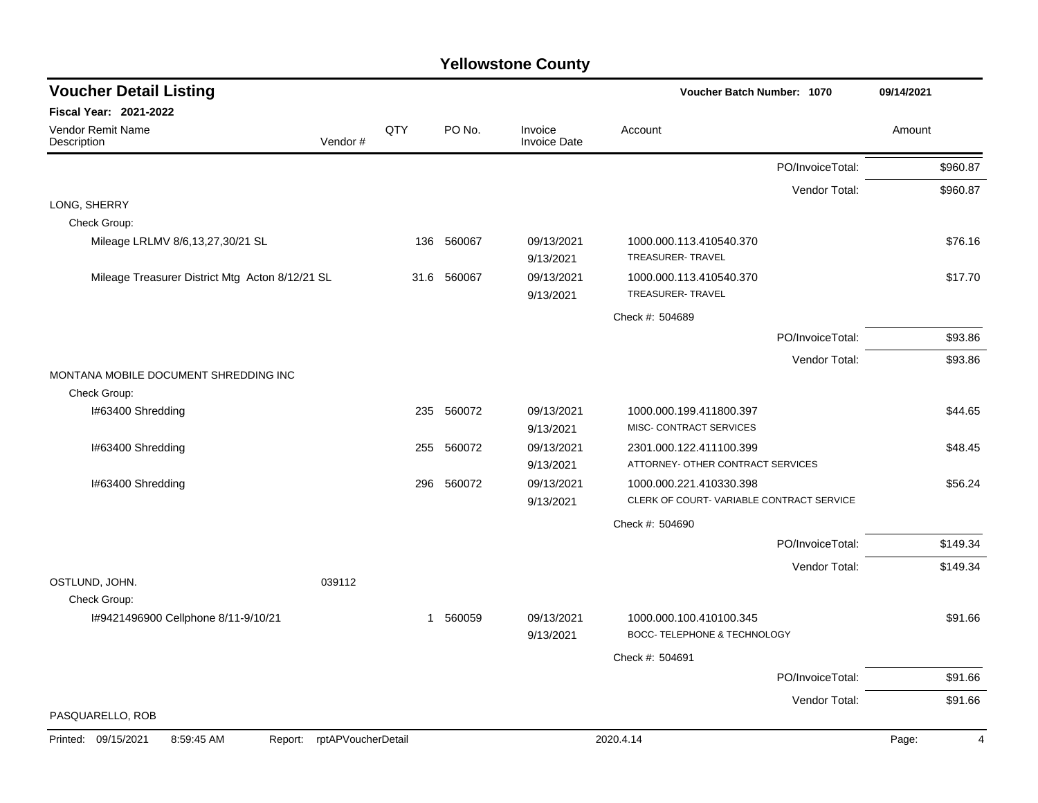| <b>Voucher Detail Listing</b>                   |                    |      |            |                                | Voucher Batch Number: 1070                              |                  | 09/14/2021 |
|-------------------------------------------------|--------------------|------|------------|--------------------------------|---------------------------------------------------------|------------------|------------|
| <b>Fiscal Year: 2021-2022</b>                   |                    |      |            |                                |                                                         |                  |            |
| Vendor Remit Name<br>Description                | Vendor#            | QTY  | PO No.     | Invoice<br><b>Invoice Date</b> | Account                                                 |                  | Amount     |
|                                                 |                    |      |            |                                |                                                         | PO/InvoiceTotal: | \$960.87   |
|                                                 |                    |      |            |                                |                                                         | Vendor Total:    | \$960.87   |
| LONG, SHERRY                                    |                    |      |            |                                |                                                         |                  |            |
| Check Group:                                    |                    |      |            |                                |                                                         |                  |            |
| Mileage LRLMV 8/6,13,27,30/21 SL                |                    |      | 136 560067 | 09/13/2021<br>9/13/2021        | 1000.000.113.410540.370<br>TREASURER-TRAVEL             |                  | \$76.16    |
| Mileage Treasurer District Mtg Acton 8/12/21 SL |                    | 31.6 | 560067     | 09/13/2021<br>9/13/2021        | 1000.000.113.410540.370<br>TREASURER- TRAVEL            |                  | \$17.70    |
|                                                 |                    |      |            |                                | Check #: 504689                                         |                  |            |
|                                                 |                    |      |            |                                |                                                         | PO/InvoiceTotal: | \$93.86    |
|                                                 |                    |      |            |                                |                                                         | Vendor Total:    | \$93.86    |
| MONTANA MOBILE DOCUMENT SHREDDING INC           |                    |      |            |                                |                                                         |                  |            |
| Check Group:                                    |                    |      |            |                                |                                                         |                  |            |
| I#63400 Shredding                               |                    |      | 235 560072 | 09/13/2021                     | 1000.000.199.411800.397                                 |                  | \$44.65    |
|                                                 |                    |      |            | 9/13/2021                      | MISC- CONTRACT SERVICES                                 |                  |            |
| I#63400 Shredding                               |                    | 255  | 560072     | 09/13/2021                     | 2301.000.122.411100.399                                 |                  | \$48.45    |
|                                                 |                    |      |            | 9/13/2021                      | ATTORNEY- OTHER CONTRACT SERVICES                       |                  |            |
| I#63400 Shredding                               |                    | 296  | 560072     | 09/13/2021                     | 1000.000.221.410330.398                                 |                  | \$56.24    |
|                                                 |                    |      |            | 9/13/2021                      | CLERK OF COURT-VARIABLE CONTRACT SERVICE                |                  |            |
|                                                 |                    |      |            |                                | Check #: 504690                                         |                  |            |
|                                                 |                    |      |            |                                |                                                         | PO/InvoiceTotal: | \$149.34   |
| OSTLUND, JOHN.                                  | 039112             |      |            |                                |                                                         | Vendor Total:    | \$149.34   |
| Check Group:                                    |                    |      |            |                                |                                                         |                  |            |
| I#9421496900 Cellphone 8/11-9/10/21             |                    |      | 1 560059   | 09/13/2021<br>9/13/2021        | 1000.000.100.410100.345<br>BOCC- TELEPHONE & TECHNOLOGY |                  | \$91.66    |
|                                                 |                    |      |            |                                | Check #: 504691                                         |                  |            |
|                                                 |                    |      |            |                                |                                                         | PO/InvoiceTotal: | \$91.66    |
|                                                 |                    |      |            |                                |                                                         | Vendor Total:    | \$91.66    |
| PASQUARELLO, ROB                                |                    |      |            |                                |                                                         |                  |            |
| 09/15/2021<br>8:59:45 AM<br>Printed:<br>Report: | rptAPVoucherDetail |      |            |                                | 2020.4.14                                               |                  | Page:<br>4 |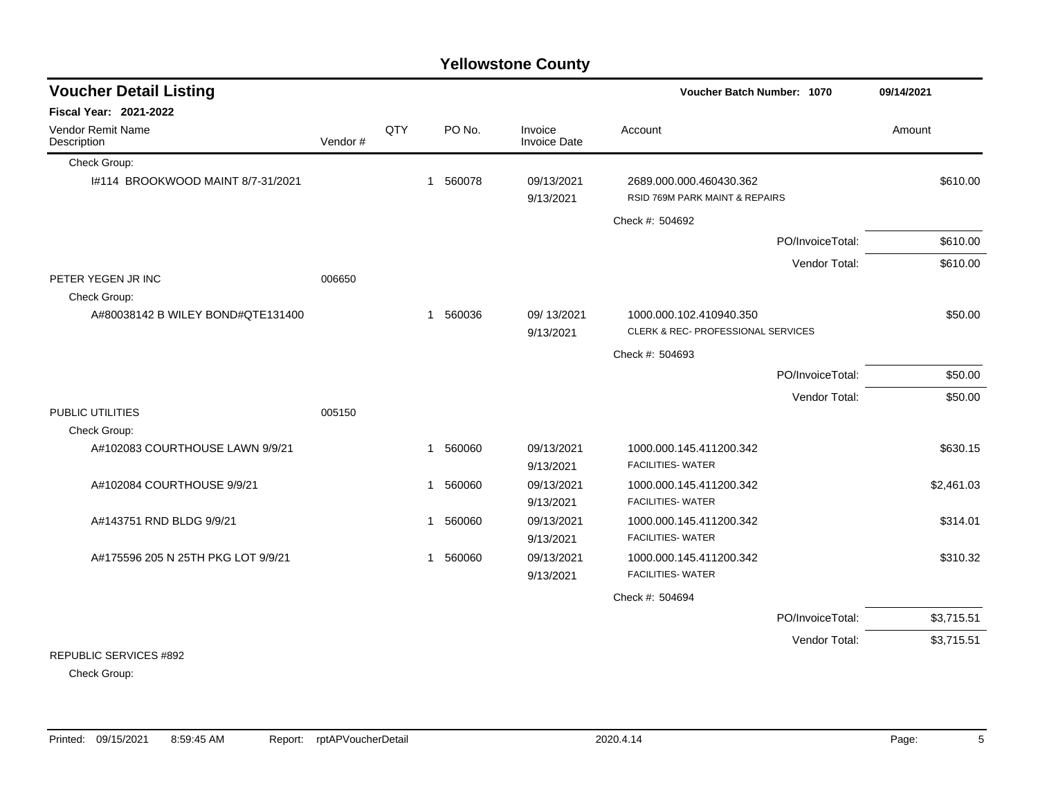| <b>Voucher Detail Listing</b>      |          | Voucher Batch Number: 1070 |                       |                         |                                                               |                  |            |
|------------------------------------|----------|----------------------------|-----------------------|-------------------------|---------------------------------------------------------------|------------------|------------|
| <b>Fiscal Year: 2021-2022</b>      |          |                            |                       |                         |                                                               |                  |            |
| Vendor Remit Name<br>Description   | Vendor # | QTY                        | PO No.                | Invoice<br>Invoice Date | Account                                                       |                  | Amount     |
| Check Group:                       |          |                            |                       |                         |                                                               |                  |            |
| 1#114 BROOKWOOD MAINT 8/7-31/2021  |          |                            | 560078<br>$\mathbf 1$ | 09/13/2021<br>9/13/2021 | 2689.000.000.460430.362<br>RSID 769M PARK MAINT & REPAIRS     |                  | \$610.00   |
|                                    |          |                            |                       |                         | Check #: 504692                                               |                  |            |
|                                    |          |                            |                       |                         |                                                               | PO/InvoiceTotal: | \$610.00   |
|                                    |          |                            |                       |                         |                                                               | Vendor Total:    | \$610.00   |
| PETER YEGEN JR INC                 | 006650   |                            |                       |                         |                                                               |                  |            |
| Check Group:                       |          |                            |                       |                         |                                                               |                  |            |
| A#80038142 B WILEY BOND#QTE131400  |          |                            | 560036<br>-1          | 09/13/2021<br>9/13/2021 | 1000.000.102.410940.350<br>CLERK & REC- PROFESSIONAL SERVICES |                  | \$50.00    |
|                                    |          |                            |                       |                         | Check #: 504693                                               |                  |            |
|                                    |          |                            |                       |                         |                                                               | PO/InvoiceTotal: | \$50.00    |
|                                    |          |                            |                       |                         |                                                               |                  |            |
| PUBLIC UTILITIES                   | 005150   |                            |                       |                         |                                                               | Vendor Total:    | \$50.00    |
| Check Group:                       |          |                            |                       |                         |                                                               |                  |            |
| A#102083 COURTHOUSE LAWN 9/9/21    |          |                            | 1 560060              | 09/13/2021<br>9/13/2021 | 1000.000.145.411200.342<br><b>FACILITIES- WATER</b>           |                  | \$630.15   |
| A#102084 COURTHOUSE 9/9/21         |          |                            | 560060<br>-1          | 09/13/2021<br>9/13/2021 | 1000.000.145.411200.342<br><b>FACILITIES- WATER</b>           |                  | \$2,461.03 |
| A#143751 RND BLDG 9/9/21           |          |                            | 560060<br>1           | 09/13/2021<br>9/13/2021 | 1000.000.145.411200.342<br><b>FACILITIES- WATER</b>           |                  | \$314.01   |
| A#175596 205 N 25TH PKG LOT 9/9/21 |          |                            | 560060<br>1           | 09/13/2021<br>9/13/2021 | 1000.000.145.411200.342<br><b>FACILITIES- WATER</b>           |                  | \$310.32   |
|                                    |          |                            |                       |                         | Check #: 504694                                               |                  |            |
|                                    |          |                            |                       |                         |                                                               | PO/InvoiceTotal: | \$3,715.51 |
|                                    |          |                            |                       |                         |                                                               | Vendor Total:    | \$3,715.51 |
| REPUBLIC SERVICES #892             |          |                            |                       |                         |                                                               |                  |            |

Check Group: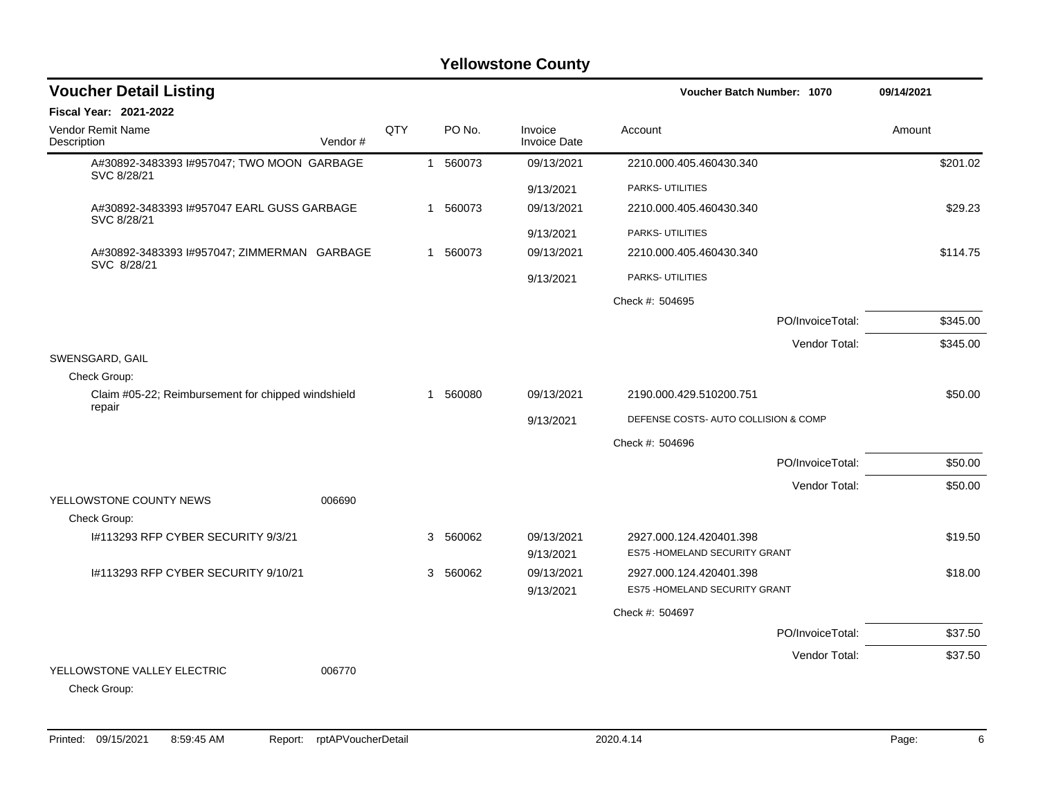| <b>Voucher Detail Listing</b>                                |         |     |   |          |                                | Voucher Batch Number: 1070                                | 09/14/2021 |
|--------------------------------------------------------------|---------|-----|---|----------|--------------------------------|-----------------------------------------------------------|------------|
| Fiscal Year: 2021-2022                                       |         |     |   |          |                                |                                                           |            |
| <b>Vendor Remit Name</b><br>Description                      | Vendor# | QTY |   | PO No.   | Invoice<br><b>Invoice Date</b> | Account                                                   | Amount     |
| A#30892-3483393 I#957047; TWO MOON GARBAGE<br>SVC 8/28/21    |         |     |   | 1 560073 | 09/13/2021                     | 2210.000.405.460430.340                                   | \$201.02   |
|                                                              |         |     |   |          | 9/13/2021                      | PARKS- UTILITIES                                          |            |
| A#30892-3483393 I#957047 EARL GUSS GARBAGE<br>SVC 8/28/21    |         |     | 1 | 560073   | 09/13/2021                     | 2210.000.405.460430.340                                   | \$29.23    |
|                                                              |         |     |   |          | 9/13/2021                      | PARKS- UTILITIES                                          |            |
| A#30892-3483393 I#957047; ZIMMERMAN GARBAGE<br>SVC 8/28/21   |         |     |   | 1 560073 | 09/13/2021                     | 2210.000.405.460430.340                                   | \$114.75   |
|                                                              |         |     |   |          | 9/13/2021                      | PARKS- UTILITIES                                          |            |
|                                                              |         |     |   |          |                                | Check #: 504695                                           |            |
|                                                              |         |     |   |          |                                | PO/InvoiceTotal:                                          | \$345.00   |
|                                                              |         |     |   |          |                                | Vendor Total:                                             | \$345.00   |
| SWENSGARD, GAIL                                              |         |     |   |          |                                |                                                           |            |
| Check Group:                                                 |         |     |   |          |                                |                                                           |            |
| Claim #05-22; Reimbursement for chipped windshield<br>repair |         |     | 1 | 560080   | 09/13/2021                     | 2190.000.429.510200.751                                   | \$50.00    |
|                                                              |         |     |   |          | 9/13/2021                      | DEFENSE COSTS- AUTO COLLISION & COMP                      |            |
|                                                              |         |     |   |          |                                | Check #: 504696                                           |            |
|                                                              |         |     |   |          |                                | PO/InvoiceTotal:                                          | \$50.00    |
|                                                              |         |     |   |          |                                | Vendor Total:                                             | \$50.00    |
| YELLOWSTONE COUNTY NEWS                                      | 006690  |     |   |          |                                |                                                           |            |
| Check Group:                                                 |         |     |   |          |                                |                                                           |            |
| #113293 RFP CYBER SECURITY 9/3/21                            |         |     | 3 | 560062   | 09/13/2021<br>9/13/2021        | 2927.000.124.420401.398<br>ES75 - HOMELAND SECURITY GRANT | \$19.50    |
| I#113293 RFP CYBER SECURITY 9/10/21                          |         |     |   | 3 560062 | 09/13/2021                     | 2927.000.124.420401.398                                   | \$18.00    |
|                                                              |         |     |   |          | 9/13/2021                      | ES75 - HOMELAND SECURITY GRANT                            |            |
|                                                              |         |     |   |          |                                | Check #: 504697                                           |            |
|                                                              |         |     |   |          |                                |                                                           |            |
|                                                              |         |     |   |          |                                | PO/InvoiceTotal:                                          | \$37.50    |
| YELLOWSTONE VALLEY ELECTRIC<br>Check Group:                  | 006770  |     |   |          |                                | Vendor Total:                                             | \$37.50    |